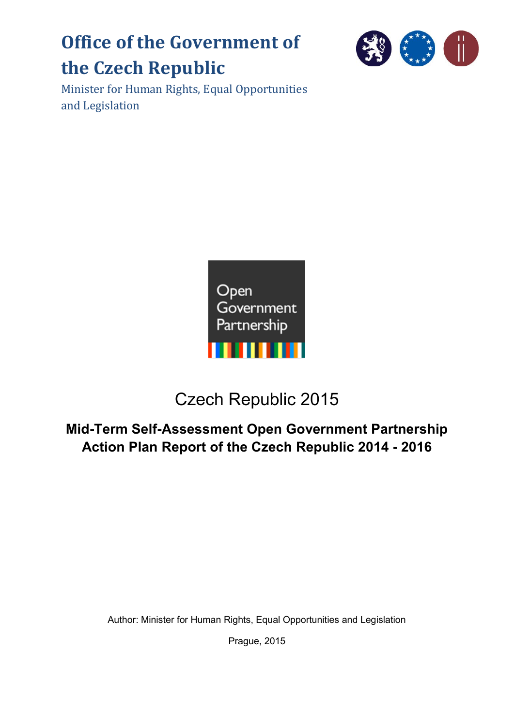# **Office of the Government of the Czech Republic**



Minister for Human Rights, Equal Opportunities and Legislation



## Czech Republic 2015

## **Mid-Term Self-Assessment Open Government Partnership Action Plan Report of the Czech Republic 2014 - 2016**

Author: Minister for Human Rights, Equal Opportunities and Legislation

Prague, 2015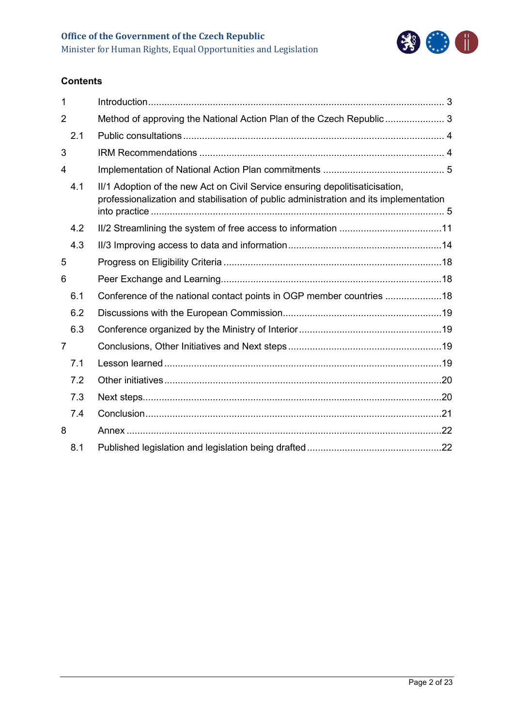

## **Contents**

| 1                        |                                                                                                                                                                       |  |
|--------------------------|-----------------------------------------------------------------------------------------------------------------------------------------------------------------------|--|
| $\overline{2}$           | Method of approving the National Action Plan of the Czech Republic 3                                                                                                  |  |
| 2.1                      |                                                                                                                                                                       |  |
| 3                        |                                                                                                                                                                       |  |
| $\overline{\mathcal{A}}$ |                                                                                                                                                                       |  |
| 4.1                      | II/1 Adoption of the new Act on Civil Service ensuring depolitisaticisation,<br>professionalization and stabilisation of public administration and its implementation |  |
| 4.2                      |                                                                                                                                                                       |  |
| 4.3                      |                                                                                                                                                                       |  |
| 5                        |                                                                                                                                                                       |  |
| 6                        |                                                                                                                                                                       |  |
| 6.1                      | Conference of the national contact points in OGP member countries 18                                                                                                  |  |
| 6.2                      |                                                                                                                                                                       |  |
| 6.3                      |                                                                                                                                                                       |  |
| $\overline{7}$           |                                                                                                                                                                       |  |
| 7.1                      |                                                                                                                                                                       |  |
| 7.2                      |                                                                                                                                                                       |  |
| 7.3                      |                                                                                                                                                                       |  |
| 7.4                      |                                                                                                                                                                       |  |
| 8                        |                                                                                                                                                                       |  |
| 8.1                      |                                                                                                                                                                       |  |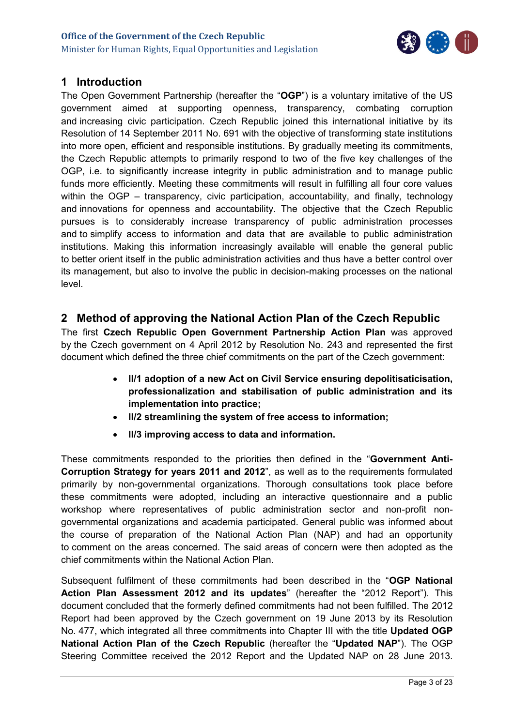

## <span id="page-2-0"></span>**1 Introduction**

The Open Government Partnership (hereafter the "**OGP**") is a voluntary imitative of the US government aimed at supporting openness, transparency, combating corruption and increasing civic participation. Czech Republic joined this international initiative by its Resolution of 14 September 2011 No. 691 with the objective of transforming state institutions into more open, efficient and responsible institutions. By gradually meeting its commitments, the Czech Republic attempts to primarily respond to two of the five key challenges of the OGP, i.e. to significantly increase integrity in public administration and to manage public funds more efficiently. Meeting these commitments will result in fulfilling all four core values within the OGP – transparency, civic participation, accountability, and finally, technology and innovations for openness and accountability. The objective that the Czech Republic pursues is to considerably increase transparency of public administration processes and to simplify access to information and data that are available to public administration institutions. Making this information increasingly available will enable the general public to better orient itself in the public administration activities and thus have a better control over its management, but also to involve the public in decision-making processes on the national level.

## <span id="page-2-1"></span>**2 Method of approving the National Action Plan of the Czech Republic**

The first **Czech Republic Open Government Partnership Action Plan** was approved by the Czech government on 4 April 2012 by Resolution No. 243 and represented the first document which defined the three chief commitments on the part of the Czech government:

- **II/1 adoption of a new Act on Civil Service ensuring depolitisaticisation, professionalization and stabilisation of public administration and its implementation into practice;**
- **II/2 streamlining the system of free access to information;**
- **II/3 improving access to data and information.**

These commitments responded to the priorities then defined in the "**Government Anti-Corruption Strategy for years 2011 and 2012**", as well as to the requirements formulated primarily by non-governmental organizations. Thorough consultations took place before these commitments were adopted, including an interactive questionnaire and a public workshop where representatives of public administration sector and non-profit nongovernmental organizations and academia participated. General public was informed about the course of preparation of the National Action Plan (NAP) and had an opportunity to comment on the areas concerned. The said areas of concern were then adopted as the chief commitments within the National Action Plan.

Subsequent fulfilment of these commitments had been described in the "**OGP National Action Plan Assessment 2012 and its updates**" (hereafter the "2012 Report"). This document concluded that the formerly defined commitments had not been fulfilled. The 2012 Report had been approved by the Czech government on 19 June 2013 by its Resolution No. 477, which integrated all three commitments into Chapter III with the title **Updated OGP National Action Plan of the Czech Republic** (hereafter the "**Updated NAP**"). The OGP Steering Committee received the 2012 Report and the Updated NAP on 28 June 2013.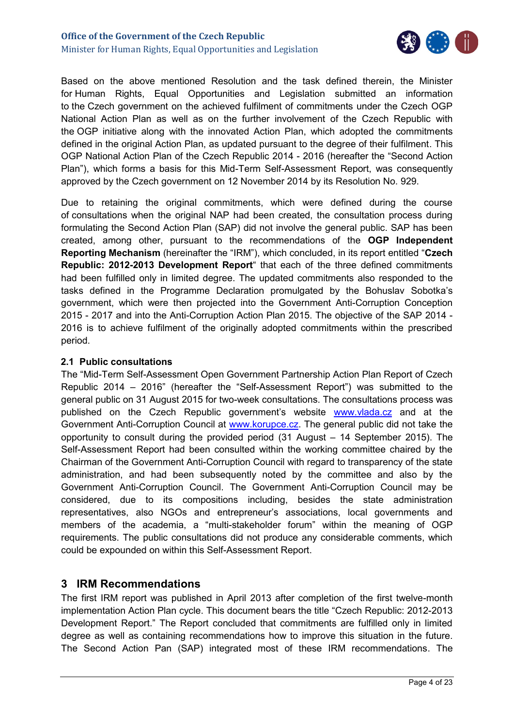

Based on the above mentioned Resolution and the task defined therein, the Minister for Human Rights, Equal Opportunities and Legislation submitted an information to the Czech government on the achieved fulfilment of commitments under the Czech OGP National Action Plan as well as on the further involvement of the Czech Republic with the OGP initiative along with the innovated Action Plan, which adopted the commitments defined in the original Action Plan, as updated pursuant to the degree of their fulfilment. This OGP National Action Plan of the Czech Republic 2014 - 2016 (hereafter the "Second Action Plan"), which forms a basis for this Mid-Term Self-Assessment Report, was consequently approved by the Czech government on 12 November 2014 by its Resolution No. 929.

Due to retaining the original commitments, which were defined during the course of consultations when the original NAP had been created, the consultation process during formulating the Second Action Plan (SAP) did not involve the general public. SAP has been created, among other, pursuant to the recommendations of the **OGP Independent Reporting Mechanism** (hereinafter the "IRM"), which concluded, in its report entitled "**Czech Republic: 2012-2013 Development Report**" that each of the three defined commitments had been fulfilled only in limited degree. The updated commitments also responded to the tasks defined in the Programme Declaration promulgated by the Bohuslav Sobotka's government, which were then projected into the Government Anti-Corruption Conception 2015 - 2017 and into the Anti-Corruption Action Plan 2015. The objective of the SAP 2014 - 2016 is to achieve fulfilment of the originally adopted commitments within the prescribed period.

#### <span id="page-3-0"></span>**2.1 Public consultations**

The "Mid-Term Self-Assessment Open Government Partnership Action Plan Report of Czech Republic 2014 – 2016" (hereafter the "Self-Assessment Report") was submitted to the general public on 31 August 2015 for two-week consultations. The consultations process was published on the Czech Republic government's website [www.vlada.cz](http://www.vlada.cz/) and at the Government Anti-Corruption Council at [www.korupce.cz.](http://www.korupce.cz/) The general public did not take the opportunity to consult during the provided period (31 August – 14 September 2015). The Self-Assessment Report had been consulted within the working committee chaired by the Chairman of the Government Anti-Corruption Council with regard to transparency of the state administration, and had been subsequently noted by the committee and also by the Government Anti-Corruption Council. The Government Anti-Corruption Council may be considered, due to its compositions including, besides the state administration representatives, also NGOs and entrepreneur's associations, local governments and members of the academia, a "multi-stakeholder forum" within the meaning of OGP requirements. The public consultations did not produce any considerable comments, which could be expounded on within this Self-Assessment Report.

## <span id="page-3-1"></span>**3 IRM Recommendations**

The first IRM report was published in April 2013 after completion of the first twelve-month implementation Action Plan cycle. This document bears the title "Czech Republic: 2012-2013 Development Report." The Report concluded that commitments are fulfilled only in limited degree as well as containing recommendations how to improve this situation in the future. The Second Action Pan (SAP) integrated most of these IRM recommendations. The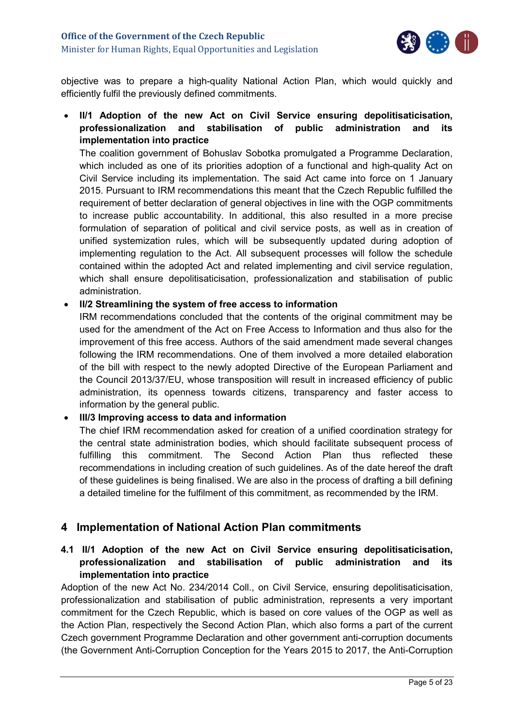

objective was to prepare a high-quality National Action Plan, which would quickly and efficiently fulfil the previously defined commitments.

 **II/1 Adoption of the new Act on Civil Service ensuring depolitisaticisation, professionalization and stabilisation of public administration and its implementation into practice**

The coalition government of Bohuslav Sobotka promulgated a Programme Declaration, which included as one of its priorities adoption of a functional and high-quality Act on Civil Service including its implementation. The said Act came into force on 1 January 2015. Pursuant to IRM recommendations this meant that the Czech Republic fulfilled the requirement of better declaration of general objectives in line with the OGP commitments to increase public accountability. In additional, this also resulted in a more precise formulation of separation of political and civil service posts, as well as in creation of unified systemization rules, which will be subsequently updated during adoption of implementing regulation to the Act. All subsequent processes will follow the schedule contained within the adopted Act and related implementing and civil service regulation, which shall ensure depolitisaticisation, professionalization and stabilisation of public administration.

### **II/2 Streamlining the system of free access to information**

IRM recommendations concluded that the contents of the original commitment may be used for the amendment of the Act on Free Access to Information and thus also for the improvement of this free access. Authors of the said amendment made several changes following the IRM recommendations. One of them involved a more detailed elaboration of the bill with respect to the newly adopted Directive of the European Parliament and the Council 2013/37/EU, whose transposition will result in increased efficiency of public administration, its openness towards citizens, transparency and faster access to information by the general public.

### **III/3 Improving access to data and information**

The chief IRM recommendation asked for creation of a unified coordination strategy for the central state administration bodies, which should facilitate subsequent process of fulfilling this commitment. The Second Action Plan thus reflected these recommendations in including creation of such guidelines. As of the date hereof the draft of these guidelines is being finalised. We are also in the process of drafting a bill defining a detailed timeline for the fulfilment of this commitment, as recommended by the IRM.

## <span id="page-4-0"></span>**4 Implementation of National Action Plan commitments**

## <span id="page-4-1"></span>**4.1 II/1 Adoption of the new Act on Civil Service ensuring depolitisaticisation, professionalization and stabilisation of public administration and its implementation into practice**

Adoption of the new Act No. 234/2014 Coll., on Civil Service, ensuring depolitisaticisation, professionalization and stabilisation of public administration, represents a very important commitment for the Czech Republic, which is based on core values of the OGP as well as the Action Plan, respectively the Second Action Plan, which also forms a part of the current Czech government Programme Declaration and other government anti-corruption documents (the Government Anti-Corruption Conception for the Years 2015 to 2017, the Anti-Corruption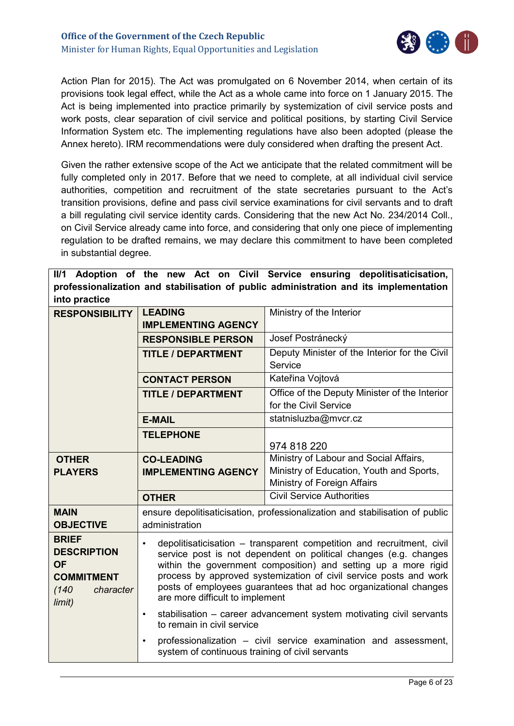

Action Plan for 2015). The Act was promulgated on 6 November 2014, when certain of its provisions took legal effect, while the Act as a whole came into force on 1 January 2015. The Act is being implemented into practice primarily by systemization of civil service posts and work posts, clear separation of civil service and political positions, by starting Civil Service Information System etc. The implementing regulations have also been adopted (please the Annex hereto). IRM recommendations were duly considered when drafting the present Act.

Given the rather extensive scope of the Act we anticipate that the related commitment will be fully completed only in 2017. Before that we need to complete, at all individual civil service authorities, competition and recruitment of the state secretaries pursuant to the Act's transition provisions, define and pass civil service examinations for civil servants and to draft a bill regulating civil service identity cards. Considering that the new Act No. 234/2014 Coll., on Civil Service already came into force, and considering that only one piece of implementing regulation to be drafted remains, we may declare this commitment to have been completed in substantial degree.

**II/1 Adoption of the new Act on Civil Service ensuring depolitisaticisation, professionalization and stabilisation of public administration and its implementation into practice**

| <b>RESPONSIBILITY</b>                                                                                | <b>LEADING</b><br><b>IMPLEMENTING AGENCY</b>                                                                                                                                                                                                                                                                                                                                                                                                                                                                           | Ministry of the Interior                                                     |  |  |
|------------------------------------------------------------------------------------------------------|------------------------------------------------------------------------------------------------------------------------------------------------------------------------------------------------------------------------------------------------------------------------------------------------------------------------------------------------------------------------------------------------------------------------------------------------------------------------------------------------------------------------|------------------------------------------------------------------------------|--|--|
|                                                                                                      | <b>RESPONSIBLE PERSON</b>                                                                                                                                                                                                                                                                                                                                                                                                                                                                                              | Josef Postránecký                                                            |  |  |
|                                                                                                      | <b>TITLE / DEPARTMENT</b>                                                                                                                                                                                                                                                                                                                                                                                                                                                                                              | Deputy Minister of the Interior for the Civil<br>Service                     |  |  |
|                                                                                                      | <b>CONTACT PERSON</b>                                                                                                                                                                                                                                                                                                                                                                                                                                                                                                  | Kateřina Vojtová                                                             |  |  |
|                                                                                                      | <b>TITLE / DEPARTMENT</b>                                                                                                                                                                                                                                                                                                                                                                                                                                                                                              | Office of the Deputy Minister of the Interior                                |  |  |
|                                                                                                      |                                                                                                                                                                                                                                                                                                                                                                                                                                                                                                                        | for the Civil Service                                                        |  |  |
|                                                                                                      | <b>E-MAIL</b>                                                                                                                                                                                                                                                                                                                                                                                                                                                                                                          | statnisluzba@mvcr.cz                                                         |  |  |
|                                                                                                      | <b>TELEPHONE</b>                                                                                                                                                                                                                                                                                                                                                                                                                                                                                                       | 974 818 220                                                                  |  |  |
| <b>OTHER</b>                                                                                         | <b>CO-LEADING</b>                                                                                                                                                                                                                                                                                                                                                                                                                                                                                                      | Ministry of Labour and Social Affairs,                                       |  |  |
| <b>PLAYERS</b>                                                                                       | <b>IMPLEMENTING AGENCY</b>                                                                                                                                                                                                                                                                                                                                                                                                                                                                                             | Ministry of Education, Youth and Sports,                                     |  |  |
|                                                                                                      | Ministry of Foreign Affairs                                                                                                                                                                                                                                                                                                                                                                                                                                                                                            |                                                                              |  |  |
|                                                                                                      | <b>OTHER</b>                                                                                                                                                                                                                                                                                                                                                                                                                                                                                                           | <b>Civil Service Authorities</b>                                             |  |  |
| <b>MAIN</b><br><b>OBJECTIVE</b>                                                                      | administration                                                                                                                                                                                                                                                                                                                                                                                                                                                                                                         | ensure depolitisaticisation, professionalization and stabilisation of public |  |  |
| <b>BRIEF</b><br><b>DESCRIPTION</b><br><b>OF</b><br><b>COMMITMENT</b><br>(140)<br>character<br>limit) | depolitisaticisation – transparent competition and recruitment, civil<br>$\bullet$<br>service post is not dependent on political changes (e.g. changes<br>within the government composition) and setting up a more rigid<br>process by approved systemization of civil service posts and work<br>posts of employees guarantees that ad hoc organizational changes<br>are more difficult to implement<br>stabilisation - career advancement system motivating civil servants<br>$\bullet$<br>to remain in civil service |                                                                              |  |  |
|                                                                                                      | professionalization - civil service examination and assessment,<br>$\bullet$<br>system of continuous training of civil servants                                                                                                                                                                                                                                                                                                                                                                                        |                                                                              |  |  |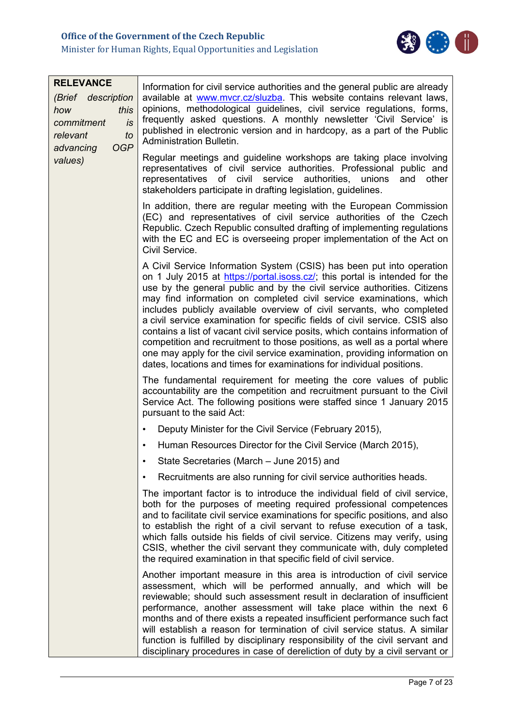

| <b>RELEVANCE</b><br>(Brief description<br>this<br>how<br>commitment<br>is<br>relevant<br>to<br><b>OGP</b><br>advancing<br>values) | Information for civil service authorities and the general public are already<br>available at www.mvcr.cz/sluzba. This website contains relevant laws,<br>opinions, methodological guidelines, civil service regulations, forms,<br>frequently asked questions. A monthly newsletter 'Civil Service' is<br>published in electronic version and in hardcopy, as a part of the Public<br><b>Administration Bulletin.</b><br>Regular meetings and guideline workshops are taking place involving                                                                                                                                                                                                                                                                                        |  |
|-----------------------------------------------------------------------------------------------------------------------------------|-------------------------------------------------------------------------------------------------------------------------------------------------------------------------------------------------------------------------------------------------------------------------------------------------------------------------------------------------------------------------------------------------------------------------------------------------------------------------------------------------------------------------------------------------------------------------------------------------------------------------------------------------------------------------------------------------------------------------------------------------------------------------------------|--|
|                                                                                                                                   | representatives of civil service authorities. Professional public and<br>representatives of civil service authorities,<br>unions<br>and<br>other<br>stakeholders participate in drafting legislation, guidelines.                                                                                                                                                                                                                                                                                                                                                                                                                                                                                                                                                                   |  |
|                                                                                                                                   | In addition, there are regular meeting with the European Commission<br>(EC) and representatives of civil service authorities of the Czech<br>Republic. Czech Republic consulted drafting of implementing regulations<br>with the EC and EC is overseeing proper implementation of the Act on<br>Civil Service.                                                                                                                                                                                                                                                                                                                                                                                                                                                                      |  |
|                                                                                                                                   | A Civil Service Information System (CSIS) has been put into operation<br>on 1 July 2015 at https://portal.isoss.cz/; this portal is intended for the<br>use by the general public and by the civil service authorities. Citizens<br>may find information on completed civil service examinations, which<br>includes publicly available overview of civil servants, who completed<br>a civil service examination for specific fields of civil service. CSIS also<br>contains a list of vacant civil service posits, which contains information of<br>competition and recruitment to those positions, as well as a portal where<br>one may apply for the civil service examination, providing information on<br>dates, locations and times for examinations for individual positions. |  |
|                                                                                                                                   | The fundamental requirement for meeting the core values of public<br>accountability are the competition and recruitment pursuant to the Civil<br>Service Act. The following positions were staffed since 1 January 2015<br>pursuant to the said Act:                                                                                                                                                                                                                                                                                                                                                                                                                                                                                                                                |  |
|                                                                                                                                   | Deputy Minister for the Civil Service (February 2015),<br>$\bullet$                                                                                                                                                                                                                                                                                                                                                                                                                                                                                                                                                                                                                                                                                                                 |  |
|                                                                                                                                   | Human Resources Director for the Civil Service (March 2015),<br>$\bullet$                                                                                                                                                                                                                                                                                                                                                                                                                                                                                                                                                                                                                                                                                                           |  |
|                                                                                                                                   | State Secretaries (March - June 2015) and                                                                                                                                                                                                                                                                                                                                                                                                                                                                                                                                                                                                                                                                                                                                           |  |
|                                                                                                                                   | Recruitments are also running for civil service authorities heads.<br>$\bullet$                                                                                                                                                                                                                                                                                                                                                                                                                                                                                                                                                                                                                                                                                                     |  |
|                                                                                                                                   | The important factor is to introduce the individual field of civil service,<br>both for the purposes of meeting required professional competences<br>and to facilitate civil service examinations for specific positions, and also<br>to establish the right of a civil servant to refuse execution of a task,<br>which falls outside his fields of civil service. Citizens may verify, using<br>CSIS, whether the civil servant they communicate with, duly completed<br>the required examination in that specific field of civil service.                                                                                                                                                                                                                                         |  |
|                                                                                                                                   | Another important measure in this area is introduction of civil service<br>assessment, which will be performed annually, and which will be<br>reviewable; should such assessment result in declaration of insufficient<br>performance, another assessment will take place within the next 6<br>months and of there exists a repeated insufficient performance such fact<br>will establish a reason for termination of civil service status. A similar<br>function is fulfilled by disciplinary responsibility of the civil servant and<br>disciplinary procedures in case of dereliction of duty by a civil servant or                                                                                                                                                              |  |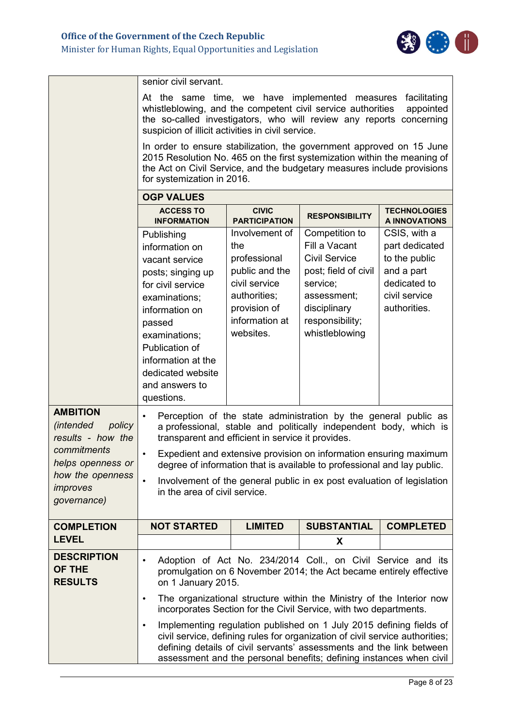

|                                                                                                                                                       | senior civil servant.                                                                                                                                                                                                                                                                                           |                                                                                                                                                                                                                                                                                                                                                                |                                                                                                                                                                 |                                                                                                                |  |  |
|-------------------------------------------------------------------------------------------------------------------------------------------------------|-----------------------------------------------------------------------------------------------------------------------------------------------------------------------------------------------------------------------------------------------------------------------------------------------------------------|----------------------------------------------------------------------------------------------------------------------------------------------------------------------------------------------------------------------------------------------------------------------------------------------------------------------------------------------------------------|-----------------------------------------------------------------------------------------------------------------------------------------------------------------|----------------------------------------------------------------------------------------------------------------|--|--|
|                                                                                                                                                       | At the same time, we have implemented measures<br>facilitating<br>whistleblowing, and the competent civil service authorities<br>appointed<br>the so-called investigators, who will review any reports concerning<br>suspicion of illicit activities in civil service.                                          |                                                                                                                                                                                                                                                                                                                                                                |                                                                                                                                                                 |                                                                                                                |  |  |
|                                                                                                                                                       | In order to ensure stabilization, the government approved on 15 June<br>2015 Resolution No. 465 on the first systemization within the meaning of<br>the Act on Civil Service, and the budgetary measures include provisions<br>for systemization in 2016.                                                       |                                                                                                                                                                                                                                                                                                                                                                |                                                                                                                                                                 |                                                                                                                |  |  |
|                                                                                                                                                       | <b>OGP VALUES</b>                                                                                                                                                                                                                                                                                               |                                                                                                                                                                                                                                                                                                                                                                |                                                                                                                                                                 |                                                                                                                |  |  |
|                                                                                                                                                       | <b>ACCESS TO</b><br><b>INFORMATION</b>                                                                                                                                                                                                                                                                          | <b>CIVIC</b><br><b>PARTICIPATION</b>                                                                                                                                                                                                                                                                                                                           | <b>RESPONSIBILITY</b>                                                                                                                                           | <b>TECHNOLOGIES</b><br>A INNOVATIONS                                                                           |  |  |
|                                                                                                                                                       | Publishing<br>information on<br>vacant service<br>posts; singing up<br>for civil service<br>examinations:<br>information on<br>passed<br>examinations;<br>Publication of<br>information at the<br>dedicated website<br>and answers to<br>questions.                                                             | Involvement of<br>the<br>professional<br>public and the<br>civil service<br>authorities;<br>provision of<br>information at<br>websites.                                                                                                                                                                                                                        | Competition to<br>Fill a Vacant<br><b>Civil Service</b><br>post; field of civil<br>service;<br>assessment;<br>disciplinary<br>responsibility;<br>whistleblowing | CSIS, with a<br>part dedicated<br>to the public<br>and a part<br>dedicated to<br>civil service<br>authorities. |  |  |
| <b>AMBITION</b><br><i>(intended</i><br>policy<br>results - how the<br>commitments<br>helps openness or<br>how the openness<br>improves<br>governance) | $\bullet$<br>transparent and efficient in service it provides.<br>$\bullet$<br>in the area of civil service.                                                                                                                                                                                                    | Perception of the state administration by the general public as<br>a professional, stable and politically independent body, which is<br>Expedient and extensive provision on information ensuring maximum<br>degree of information that is available to professional and lay public.<br>Involvement of the general public in ex post evaluation of legislation |                                                                                                                                                                 |                                                                                                                |  |  |
| <b>COMPLETION</b>                                                                                                                                     | <b>NOT STARTED</b>                                                                                                                                                                                                                                                                                              | <b>LIMITED</b>                                                                                                                                                                                                                                                                                                                                                 | <b>SUBSTANTIAL</b>                                                                                                                                              | <b>COMPLETED</b>                                                                                               |  |  |
| <b>LEVEL</b>                                                                                                                                          |                                                                                                                                                                                                                                                                                                                 |                                                                                                                                                                                                                                                                                                                                                                | X                                                                                                                                                               |                                                                                                                |  |  |
| <b>DESCRIPTION</b><br>OF THE<br><b>RESULTS</b>                                                                                                        | Adoption of Act No. 234/2014 Coll., on Civil Service and its<br>promulgation on 6 November 2014; the Act became entirely effective<br>on 1 January 2015.                                                                                                                                                        |                                                                                                                                                                                                                                                                                                                                                                |                                                                                                                                                                 |                                                                                                                |  |  |
|                                                                                                                                                       | The organizational structure within the Ministry of the Interior now<br>$\bullet$<br>incorporates Section for the Civil Service, with two departments.                                                                                                                                                          |                                                                                                                                                                                                                                                                                                                                                                |                                                                                                                                                                 |                                                                                                                |  |  |
|                                                                                                                                                       | Implementing regulation published on 1 July 2015 defining fields of<br>$\bullet$<br>civil service, defining rules for organization of civil service authorities;<br>defining details of civil servants' assessments and the link between<br>assessment and the personal benefits; defining instances when civil |                                                                                                                                                                                                                                                                                                                                                                |                                                                                                                                                                 |                                                                                                                |  |  |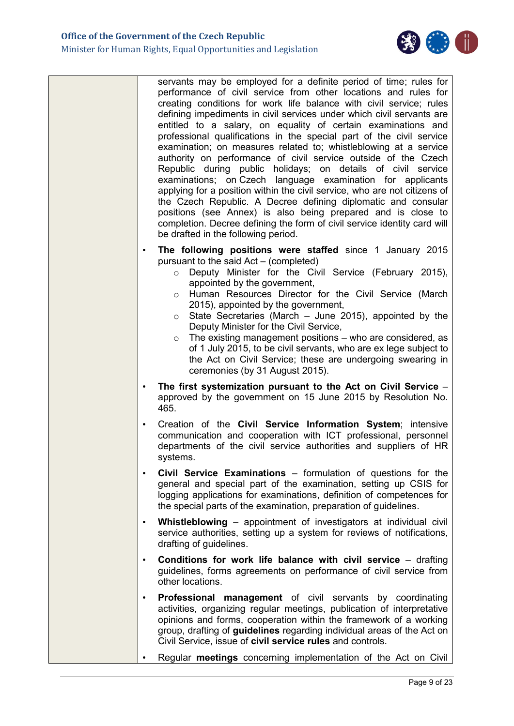

| servants may be employed for a definite period of time; rules for<br>performance of civil service from other locations and rules for<br>creating conditions for work life balance with civil service; rules<br>defining impediments in civil services under which civil servants are<br>entitled to a salary, on equality of certain examinations and<br>professional qualifications in the special part of the civil service<br>examination; on measures related to; whistleblowing at a service<br>authority on performance of civil service outside of the Czech<br>Republic during public holidays; on details of civil service<br>examinations; on Czech language examination for applicants<br>applying for a position within the civil service, who are not citizens of<br>the Czech Republic. A Decree defining diplomatic and consular<br>positions (see Annex) is also being prepared and is close to<br>completion. Decree defining the form of civil service identity card will<br>be drafted in the following period. |
|------------------------------------------------------------------------------------------------------------------------------------------------------------------------------------------------------------------------------------------------------------------------------------------------------------------------------------------------------------------------------------------------------------------------------------------------------------------------------------------------------------------------------------------------------------------------------------------------------------------------------------------------------------------------------------------------------------------------------------------------------------------------------------------------------------------------------------------------------------------------------------------------------------------------------------------------------------------------------------------------------------------------------------|
| The following positions were staffed since 1 January 2015<br>$\bullet$<br>pursuant to the said Act – (completed)<br>Deputy Minister for the Civil Service (February 2015),<br>$\circ$<br>appointed by the government,<br>Human Resources Director for the Civil Service (March<br>$\circ$<br>2015), appointed by the government,<br>State Secretaries (March $-$ June 2015), appointed by the<br>$\circ$<br>Deputy Minister for the Civil Service,<br>The existing management positions - who are considered, as<br>$\circ$<br>of 1 July 2015, to be civil servants, who are ex lege subject to<br>the Act on Civil Service; these are undergoing swearing in<br>ceremonies (by 31 August 2015).                                                                                                                                                                                                                                                                                                                                   |
| The first systemization pursuant to the Act on Civil Service -<br>$\bullet$<br>approved by the government on 15 June 2015 by Resolution No.<br>465.                                                                                                                                                                                                                                                                                                                                                                                                                                                                                                                                                                                                                                                                                                                                                                                                                                                                                |
| Creation of the Civil Service Information System; intensive<br>$\bullet$<br>communication and cooperation with ICT professional, personnel<br>departments of the civil service authorities and suppliers of HR<br>systems.                                                                                                                                                                                                                                                                                                                                                                                                                                                                                                                                                                                                                                                                                                                                                                                                         |
| Civil Service Examinations – formulation of questions for the<br>$\bullet$<br>general and special part of the examination, setting up CSIS for<br>logging applications for examinations, definition of competences for<br>the special parts of the examination, preparation of guidelines.                                                                                                                                                                                                                                                                                                                                                                                                                                                                                                                                                                                                                                                                                                                                         |
| Whistleblowing – appointment of investigators at individual civil<br>$\bullet$<br>service authorities, setting up a system for reviews of notifications,<br>drafting of guidelines.                                                                                                                                                                                                                                                                                                                                                                                                                                                                                                                                                                                                                                                                                                                                                                                                                                                |
| Conditions for work life balance with civil service - drafting<br>$\bullet$<br>guidelines, forms agreements on performance of civil service from<br>other locations.                                                                                                                                                                                                                                                                                                                                                                                                                                                                                                                                                                                                                                                                                                                                                                                                                                                               |
| Professional management of civil servants by coordinating<br>$\bullet$<br>activities, organizing regular meetings, publication of interpretative<br>opinions and forms, cooperation within the framework of a working<br>group, drafting of guidelines regarding individual areas of the Act on<br>Civil Service, issue of civil service rules and controls.                                                                                                                                                                                                                                                                                                                                                                                                                                                                                                                                                                                                                                                                       |
| Regular meetings concerning implementation of the Act on Civil                                                                                                                                                                                                                                                                                                                                                                                                                                                                                                                                                                                                                                                                                                                                                                                                                                                                                                                                                                     |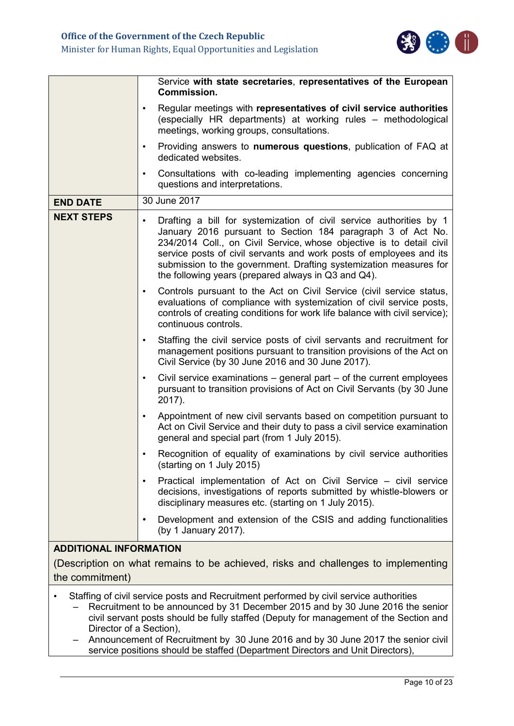

|                                                                                                                                                                                                                                                                 | Service with state secretaries, representatives of the European<br><b>Commission.</b>                                                                                                                                                                                                                                                                                                                                      |  |  |  |
|-----------------------------------------------------------------------------------------------------------------------------------------------------------------------------------------------------------------------------------------------------------------|----------------------------------------------------------------------------------------------------------------------------------------------------------------------------------------------------------------------------------------------------------------------------------------------------------------------------------------------------------------------------------------------------------------------------|--|--|--|
|                                                                                                                                                                                                                                                                 | Regular meetings with representatives of civil service authorities<br>$\bullet$<br>(especially HR departments) at working rules - methodological<br>meetings, working groups, consultations.                                                                                                                                                                                                                               |  |  |  |
|                                                                                                                                                                                                                                                                 | Providing answers to numerous questions, publication of FAQ at<br>$\bullet$<br>dedicated websites.                                                                                                                                                                                                                                                                                                                         |  |  |  |
|                                                                                                                                                                                                                                                                 | Consultations with co-leading implementing agencies concerning<br>$\bullet$<br>questions and interpretations.                                                                                                                                                                                                                                                                                                              |  |  |  |
| <b>END DATE</b>                                                                                                                                                                                                                                                 | 30 June 2017                                                                                                                                                                                                                                                                                                                                                                                                               |  |  |  |
| <b>NEXT STEPS</b>                                                                                                                                                                                                                                               | Drafting a bill for systemization of civil service authorities by 1<br>$\bullet$<br>January 2016 pursuant to Section 184 paragraph 3 of Act No.<br>234/2014 Coll., on Civil Service, whose objective is to detail civil<br>service posts of civil servants and work posts of employees and its<br>submission to the government. Drafting systemization measures for<br>the following years (prepared always in Q3 and Q4). |  |  |  |
| Controls pursuant to the Act on Civil Service (civil service status,<br>$\bullet$<br>evaluations of compliance with systemization of civil service posts,<br>controls of creating conditions for work life balance with civil service);<br>continuous controls. |                                                                                                                                                                                                                                                                                                                                                                                                                            |  |  |  |
|                                                                                                                                                                                                                                                                 | Staffing the civil service posts of civil servants and recruitment for<br>$\bullet$<br>management positions pursuant to transition provisions of the Act on<br>Civil Service (by 30 June 2016 and 30 June 2017).                                                                                                                                                                                                           |  |  |  |
|                                                                                                                                                                                                                                                                 | Civil service examinations $-$ general part $-$ of the current employees<br>$\bullet$<br>pursuant to transition provisions of Act on Civil Servants (by 30 June<br>2017).                                                                                                                                                                                                                                                  |  |  |  |
|                                                                                                                                                                                                                                                                 | Appointment of new civil servants based on competition pursuant to<br>$\bullet$<br>Act on Civil Service and their duty to pass a civil service examination<br>general and special part (from 1 July 2015).                                                                                                                                                                                                                 |  |  |  |
|                                                                                                                                                                                                                                                                 | Recognition of equality of examinations by civil service authorities<br>$\bullet$<br>(starting on 1 July 2015)                                                                                                                                                                                                                                                                                                             |  |  |  |
|                                                                                                                                                                                                                                                                 | Practical implementation of Act on Civil Service - civil service<br>$\bullet$<br>decisions, investigations of reports submitted by whistle-blowers or<br>disciplinary measures etc. (starting on 1 July 2015).                                                                                                                                                                                                             |  |  |  |
|                                                                                                                                                                                                                                                                 | Development and extension of the CSIS and adding functionalities<br>$\bullet$<br>(by 1 January 2017).                                                                                                                                                                                                                                                                                                                      |  |  |  |
| <b>ADDITIONAL INFORMATION</b>                                                                                                                                                                                                                                   |                                                                                                                                                                                                                                                                                                                                                                                                                            |  |  |  |
|                                                                                                                                                                                                                                                                 | (Description on what remains to be achieved, risks and challenges to implementing                                                                                                                                                                                                                                                                                                                                          |  |  |  |
| the commitment)                                                                                                                                                                                                                                                 |                                                                                                                                                                                                                                                                                                                                                                                                                            |  |  |  |
| Director of a Section),                                                                                                                                                                                                                                         | Staffing of civil service posts and Recruitment performed by civil service authorities<br>Recruitment to be announced by 31 December 2015 and by 30 June 2016 the senior<br>civil servant posts should be fully staffed (Deputy for management of the Section and                                                                                                                                                          |  |  |  |

– Announcement of Recruitment by 30 June 2016 and by 30 June 2017 the senior civil service positions should be staffed (Department Directors and Unit Directors),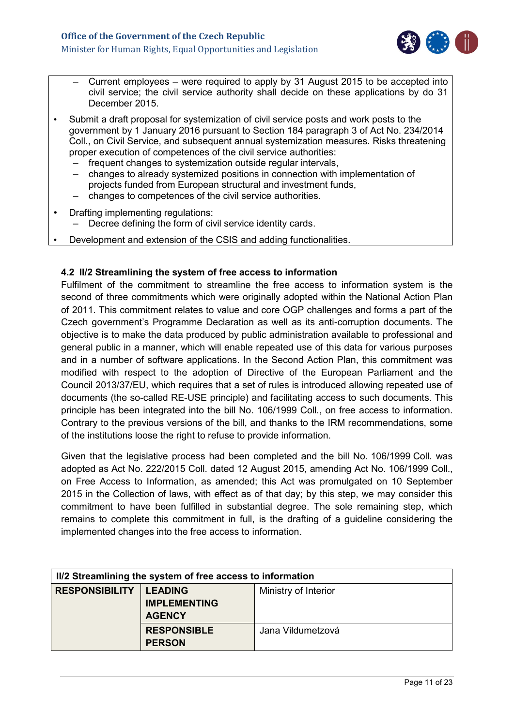

- Current employees were required to apply by 31 August 2015 to be accepted into civil service; the civil service authority shall decide on these applications by do 31 December 2015.
- Submit a draft proposal for systemization of civil service posts and work posts to the government by 1 January 2016 pursuant to Section 184 paragraph 3 of Act No. 234/2014 Coll., on Civil Service, and subsequent annual systemization measures. Risks threatening proper execution of competences of the civil service authorities:
	- frequent changes to systemization outside regular intervals,
	- changes to already systemized positions in connection with implementation of projects funded from European structural and investment funds,
	- changes to competences of the civil service authorities.
- Drafting implementing regulations:
	- Decree defining the form of civil service identity cards.
- Development and extension of the CSIS and adding functionalities.

### <span id="page-10-0"></span>**4.2 II/2 Streamlining the system of free access to information**

Fulfilment of the commitment to streamline the free access to information system is the second of three commitments which were originally adopted within the National Action Plan of 2011. This commitment relates to value and core OGP challenges and forms a part of the Czech government's Programme Declaration as well as its anti-corruption documents. The objective is to make the data produced by public administration available to professional and general public in a manner, which will enable repeated use of this data for various purposes and in a number of software applications. In the Second Action Plan, this commitment was modified with respect to the adoption of Directive of the European Parliament and the Council 2013/37/EU, which requires that a set of rules is introduced allowing repeated use of documents (the so-called RE-USE principle) and facilitating access to such documents. This principle has been integrated into the bill No. 106/1999 Coll., on free access to information. Contrary to the previous versions of the bill, and thanks to the IRM recommendations, some of the institutions loose the right to refuse to provide information.

Given that the legislative process had been completed and the bill No. 106/1999 Coll. was adopted as Act No. 222/2015 Coll. dated 12 August 2015, amending Act No. 106/1999 Coll., on Free Access to Information, as amended; this Act was promulgated on 10 September 2015 in the Collection of laws, with effect as of that day; by this step, we may consider this commitment to have been fulfilled in substantial degree. The sole remaining step, which remains to complete this commitment in full, is the drafting of a guideline considering the implemented changes into the free access to information.

| II/2 Streamlining the system of free access to information |                                                        |                      |  |
|------------------------------------------------------------|--------------------------------------------------------|----------------------|--|
| <b>RESPONSIBILITY</b>                                      | <b>LEADING</b><br><b>IMPLEMENTING</b><br><b>AGENCY</b> | Ministry of Interior |  |
|                                                            | <b>RESPONSIBLE</b><br><b>PERSON</b>                    | Jana Vildumetzová    |  |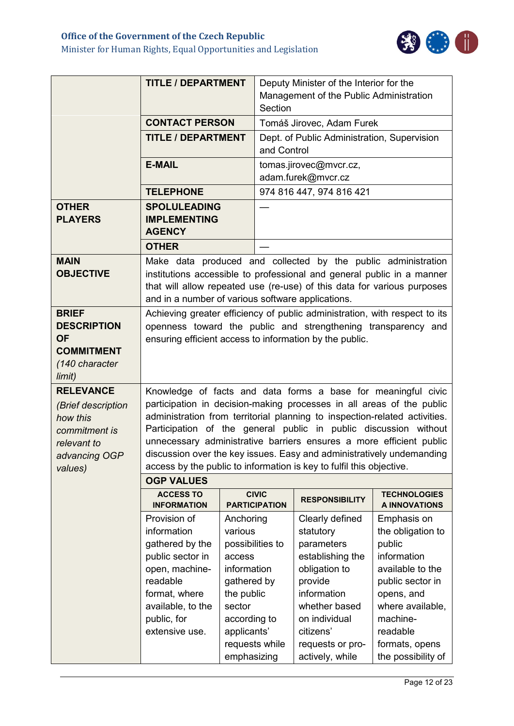

|                                                                                                                | <b>TITLE / DEPARTMENT</b>                                                                                                                                                                                                                                                                            |                                                                                                                                                                          | Deputy Minister of the Interior for the<br>Management of the Public Administration<br>Section |                                                                                                                                                                                                 |                                                                                                                                                                                                          |
|----------------------------------------------------------------------------------------------------------------|------------------------------------------------------------------------------------------------------------------------------------------------------------------------------------------------------------------------------------------------------------------------------------------------------|--------------------------------------------------------------------------------------------------------------------------------------------------------------------------|-----------------------------------------------------------------------------------------------|-------------------------------------------------------------------------------------------------------------------------------------------------------------------------------------------------|----------------------------------------------------------------------------------------------------------------------------------------------------------------------------------------------------------|
|                                                                                                                | <b>CONTACT PERSON</b>                                                                                                                                                                                                                                                                                |                                                                                                                                                                          | Tomáš Jirovec, Adam Furek                                                                     |                                                                                                                                                                                                 |                                                                                                                                                                                                          |
|                                                                                                                | <b>TITLE / DEPARTMENT</b>                                                                                                                                                                                                                                                                            |                                                                                                                                                                          | and Control                                                                                   |                                                                                                                                                                                                 | Dept. of Public Administration, Supervision                                                                                                                                                              |
|                                                                                                                | <b>E-MAIL</b>                                                                                                                                                                                                                                                                                        |                                                                                                                                                                          | tomas.jirovec@mvcr.cz,                                                                        |                                                                                                                                                                                                 |                                                                                                                                                                                                          |
|                                                                                                                |                                                                                                                                                                                                                                                                                                      |                                                                                                                                                                          | adam.furek@mvcr.cz                                                                            |                                                                                                                                                                                                 |                                                                                                                                                                                                          |
|                                                                                                                | <b>TELEPHONE</b>                                                                                                                                                                                                                                                                                     |                                                                                                                                                                          |                                                                                               | 974 816 447, 974 816 421                                                                                                                                                                        |                                                                                                                                                                                                          |
| <b>OTHER</b><br><b>PLAYERS</b>                                                                                 | <b>SPOLULEADING</b><br><b>IMPLEMENTING</b><br><b>AGENCY</b>                                                                                                                                                                                                                                          |                                                                                                                                                                          |                                                                                               |                                                                                                                                                                                                 |                                                                                                                                                                                                          |
|                                                                                                                | <b>OTHER</b>                                                                                                                                                                                                                                                                                         |                                                                                                                                                                          |                                                                                               |                                                                                                                                                                                                 |                                                                                                                                                                                                          |
| <b>MAIN</b><br><b>OBJECTIVE</b>                                                                                | Make data produced and collected by the public administration<br>institutions accessible to professional and general public in a manner<br>that will allow repeated use (re-use) of this data for various purposes<br>and in a number of various software applications.                              |                                                                                                                                                                          |                                                                                               |                                                                                                                                                                                                 |                                                                                                                                                                                                          |
| <b>BRIEF</b><br><b>DESCRIPTION</b><br><b>OF</b><br><b>COMMITMENT</b><br>(140 character<br>limit)               | Achieving greater efficiency of public administration, with respect to its<br>openness toward the public and strengthening transparency and<br>ensuring efficient access to information by the public.                                                                                               |                                                                                                                                                                          |                                                                                               |                                                                                                                                                                                                 |                                                                                                                                                                                                          |
| <b>RELEVANCE</b><br>(Brief description<br>how this<br>commitment is<br>relevant to<br>advancing OGP<br>values) | participation in decision-making processes in all areas of the public<br>administration from territorial planning to inspection-related activities.<br>discussion over the key issues. Easy and administratively undemanding<br>access by the public to information is key to fulfil this objective. |                                                                                                                                                                          |                                                                                               |                                                                                                                                                                                                 | Knowledge of facts and data forms a base for meaningful civic<br>Participation of the general public in public discussion without<br>unnecessary administrative barriers ensures a more efficient public |
|                                                                                                                | <b>OGP VALUES</b>                                                                                                                                                                                                                                                                                    |                                                                                                                                                                          |                                                                                               |                                                                                                                                                                                                 |                                                                                                                                                                                                          |
|                                                                                                                | <b>ACCESS TO</b><br><b>INFORMATION</b>                                                                                                                                                                                                                                                               | <b>CIVIC</b><br><b>PARTICIPATION</b>                                                                                                                                     |                                                                                               | <b>RESPONSIBILITY</b>                                                                                                                                                                           | <b>TECHNOLOGIES</b><br>A INNOVATIONS                                                                                                                                                                     |
|                                                                                                                | Provision of<br>information<br>gathered by the<br>public sector in<br>open, machine-<br>readable<br>format, where<br>available, to the<br>public, for<br>extensive use.                                                                                                                              | Anchoring<br>various<br>possibilities to<br>access<br>information<br>gathered by<br>the public<br>sector<br>according to<br>applicants'<br>requests while<br>emphasizing |                                                                                               | Clearly defined<br>statutory<br>parameters<br>establishing the<br>obligation to<br>provide<br>information<br>whether based<br>on individual<br>citizens'<br>requests or pro-<br>actively, while | Emphasis on<br>the obligation to<br>public<br>information<br>available to the<br>public sector in<br>opens, and<br>where available,<br>machine-<br>readable<br>formats, opens<br>the possibility of      |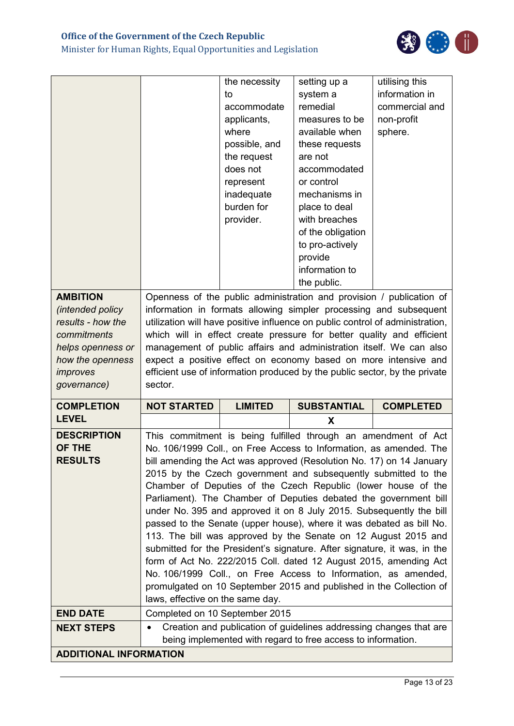## **Office of the Government of the Czech Republic**

Minister for Human Rights, Equal Opportunities and Legislation



|                                                                                                                                             |                                                                                                                                                                                                                                                                                                                                                                                                                                                                                                                                                                                                                                                                                                                                                                                                                                                                                                                                                                    | the necessity<br>to<br>accommodate<br>applicants,<br>where<br>possible, and<br>the request<br>does not<br>represent<br>inadequate<br>burden for<br>provider. | setting up a<br>system a<br>remedial<br>measures to be<br>available when<br>these requests<br>are not<br>accommodated<br>or control<br>mechanisms in<br>place to deal<br>with breaches<br>of the obligation | utilising this<br>information in<br>commercial and<br>non-profit<br>sphere. |
|---------------------------------------------------------------------------------------------------------------------------------------------|--------------------------------------------------------------------------------------------------------------------------------------------------------------------------------------------------------------------------------------------------------------------------------------------------------------------------------------------------------------------------------------------------------------------------------------------------------------------------------------------------------------------------------------------------------------------------------------------------------------------------------------------------------------------------------------------------------------------------------------------------------------------------------------------------------------------------------------------------------------------------------------------------------------------------------------------------------------------|--------------------------------------------------------------------------------------------------------------------------------------------------------------|-------------------------------------------------------------------------------------------------------------------------------------------------------------------------------------------------------------|-----------------------------------------------------------------------------|
|                                                                                                                                             |                                                                                                                                                                                                                                                                                                                                                                                                                                                                                                                                                                                                                                                                                                                                                                                                                                                                                                                                                                    |                                                                                                                                                              | to pro-actively<br>provide<br>information to<br>the public.                                                                                                                                                 |                                                                             |
| <b>AMBITION</b><br>(intended policy<br>results - how the<br>commitments<br>helps openness or<br>how the openness<br>improves<br>governance) | Openness of the public administration and provision / publication of<br>information in formats allowing simpler processing and subsequent<br>utilization will have positive influence on public control of administration,<br>which will in effect create pressure for better quality and efficient<br>management of public affairs and administration itself. We can also<br>expect a positive effect on economy based on more intensive and<br>efficient use of information produced by the public sector, by the private<br>sector.                                                                                                                                                                                                                                                                                                                                                                                                                             |                                                                                                                                                              |                                                                                                                                                                                                             |                                                                             |
| <b>COMPLETION</b>                                                                                                                           | <b>NOT STARTED</b>                                                                                                                                                                                                                                                                                                                                                                                                                                                                                                                                                                                                                                                                                                                                                                                                                                                                                                                                                 | <b>LIMITED</b>                                                                                                                                               | <b>SUBSTANTIAL</b>                                                                                                                                                                                          | <b>COMPLETED</b>                                                            |
| <b>LEVEL</b>                                                                                                                                |                                                                                                                                                                                                                                                                                                                                                                                                                                                                                                                                                                                                                                                                                                                                                                                                                                                                                                                                                                    |                                                                                                                                                              | X                                                                                                                                                                                                           |                                                                             |
| <b>DESCRIPTION</b><br>OF THE<br><b>RESULTS</b>                                                                                              | This commitment is being fulfilled through an amendment of Act<br>No. 106/1999 Coll., on Free Access to Information, as amended. The<br>bill amending the Act was approved (Resolution No. 17) on 14 January<br>2015 by the Czech government and subsequently submitted to the<br>Chamber of Deputies of the Czech Republic (lower house of the<br>Parliament). The Chamber of Deputies debated the government bill<br>under No. 395 and approved it on 8 July 2015. Subsequently the bill<br>passed to the Senate (upper house), where it was debated as bill No.<br>113. The bill was approved by the Senate on 12 August 2015 and<br>submitted for the President's signature. After signature, it was, in the<br>form of Act No. 222/2015 Coll. dated 12 August 2015, amending Act<br>No. 106/1999 Coll., on Free Access to Information, as amended,<br>promulgated on 10 September 2015 and published in the Collection of<br>laws, effective on the same day. |                                                                                                                                                              |                                                                                                                                                                                                             |                                                                             |
| <b>END DATE</b>                                                                                                                             | Completed on 10 September 2015                                                                                                                                                                                                                                                                                                                                                                                                                                                                                                                                                                                                                                                                                                                                                                                                                                                                                                                                     |                                                                                                                                                              |                                                                                                                                                                                                             |                                                                             |
| <b>NEXT STEPS</b>                                                                                                                           | Creation and publication of guidelines addressing changes that are<br>being implemented with regard to free access to information.                                                                                                                                                                                                                                                                                                                                                                                                                                                                                                                                                                                                                                                                                                                                                                                                                                 |                                                                                                                                                              |                                                                                                                                                                                                             |                                                                             |
| <b>ADDITIONAL INFORMATION</b>                                                                                                               |                                                                                                                                                                                                                                                                                                                                                                                                                                                                                                                                                                                                                                                                                                                                                                                                                                                                                                                                                                    |                                                                                                                                                              |                                                                                                                                                                                                             |                                                                             |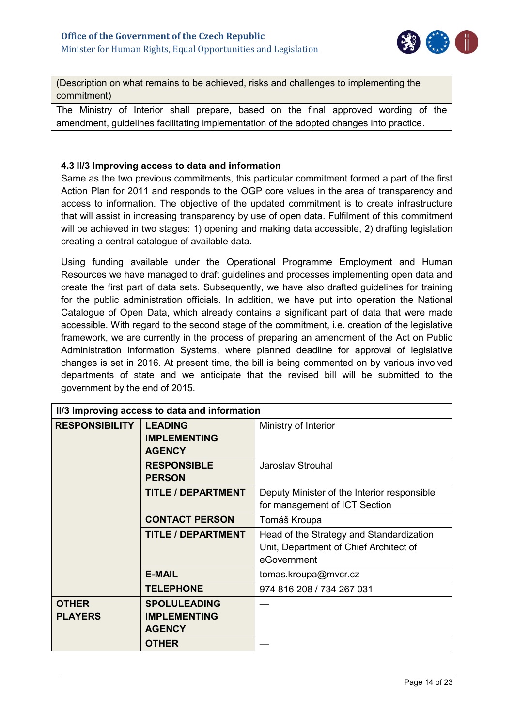

(Description on what remains to be achieved, risks and challenges to implementing the commitment)

The Ministry of Interior shall prepare, based on the final approved wording of the amendment, guidelines facilitating implementation of the adopted changes into practice.

## <span id="page-13-0"></span>**4.3 II/3 Improving access to data and information**

Same as the two previous commitments, this particular commitment formed a part of the first Action Plan for 2011 and responds to the OGP core values in the area of transparency and access to information. The objective of the updated commitment is to create infrastructure that will assist in increasing transparency by use of open data. Fulfilment of this commitment will be achieved in two stages: 1) opening and making data accessible, 2) drafting legislation creating a central catalogue of available data.

Using funding available under the Operational Programme Employment and Human Resources we have managed to draft guidelines and processes implementing open data and create the first part of data sets. Subsequently, we have also drafted guidelines for training for the public administration officials. In addition, we have put into operation the National Catalogue of Open Data, which already contains a significant part of data that were made accessible. With regard to the second stage of the commitment, i.e. creation of the legislative framework, we are currently in the process of preparing an amendment of the Act on Public Administration Information Systems, where planned deadline for approval of legislative changes is set in 2016. At present time, the bill is being commented on by various involved departments of state and we anticipate that the revised bill will be submitted to the government by the end of 2015.

|                                | II/3 Improving access to data and information               |                                                                                                   |  |  |  |
|--------------------------------|-------------------------------------------------------------|---------------------------------------------------------------------------------------------------|--|--|--|
| <b>RESPONSIBILITY</b>          | <b>LEADING</b><br><b>IMPLEMENTING</b><br><b>AGENCY</b>      | Ministry of Interior                                                                              |  |  |  |
|                                | <b>RESPONSIBLE</b><br><b>PERSON</b>                         | Jaroslav Strouhal                                                                                 |  |  |  |
|                                | <b>TITLE / DEPARTMENT</b>                                   | Deputy Minister of the Interior responsible<br>for management of ICT Section                      |  |  |  |
|                                | <b>CONTACT PERSON</b>                                       | Tomáš Kroupa                                                                                      |  |  |  |
|                                | <b>TITLE / DEPARTMENT</b>                                   | Head of the Strategy and Standardization<br>Unit, Department of Chief Architect of<br>eGovernment |  |  |  |
|                                | <b>E-MAIL</b>                                               | tomas.kroupa@mvcr.cz                                                                              |  |  |  |
|                                | <b>TELEPHONE</b>                                            | 974 816 208 / 734 267 031                                                                         |  |  |  |
| <b>OTHER</b><br><b>PLAYERS</b> | <b>SPOLULEADING</b><br><b>IMPLEMENTING</b><br><b>AGENCY</b> |                                                                                                   |  |  |  |
|                                | <b>OTHER</b>                                                |                                                                                                   |  |  |  |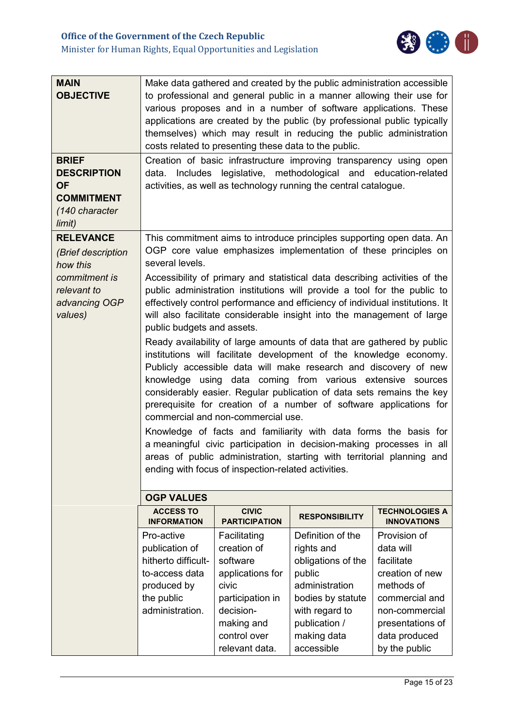

| <b>MAIN</b><br><b>OBJECTIVE</b>                                                                  | Make data gathered and created by the public administration accessible<br>to professional and general public in a manner allowing their use for<br>various proposes and in a number of software applications. These<br>applications are created by the public (by professional public typically<br>themselves) which may result in reducing the public administration                                                                                                                                                                                                                                                                                                                                                                                                                                                                                                                                                                                                                                                                                                                                |                                                                                                                                                       |                                                                                                                                                                        |                                                                                                                                                                    |  |
|--------------------------------------------------------------------------------------------------|------------------------------------------------------------------------------------------------------------------------------------------------------------------------------------------------------------------------------------------------------------------------------------------------------------------------------------------------------------------------------------------------------------------------------------------------------------------------------------------------------------------------------------------------------------------------------------------------------------------------------------------------------------------------------------------------------------------------------------------------------------------------------------------------------------------------------------------------------------------------------------------------------------------------------------------------------------------------------------------------------------------------------------------------------------------------------------------------------|-------------------------------------------------------------------------------------------------------------------------------------------------------|------------------------------------------------------------------------------------------------------------------------------------------------------------------------|--------------------------------------------------------------------------------------------------------------------------------------------------------------------|--|
| <b>BRIEF</b><br><b>DESCRIPTION</b><br><b>OF</b><br><b>COMMITMENT</b><br>(140 character<br>limit) | costs related to presenting these data to the public.<br>Creation of basic infrastructure improving transparency using open<br>data. Includes legislative, methodological and education-related<br>activities, as well as technology running the central catalogue.                                                                                                                                                                                                                                                                                                                                                                                                                                                                                                                                                                                                                                                                                                                                                                                                                                  |                                                                                                                                                       |                                                                                                                                                                        |                                                                                                                                                                    |  |
| <b>RELEVANCE</b><br>(Brief description<br>how this                                               | several levels.                                                                                                                                                                                                                                                                                                                                                                                                                                                                                                                                                                                                                                                                                                                                                                                                                                                                                                                                                                                                                                                                                      |                                                                                                                                                       | This commitment aims to introduce principles supporting open data. An<br>OGP core value emphasizes implementation of these principles on                               |                                                                                                                                                                    |  |
| commitment is<br>relevant to<br>advancing OGP<br>values)                                         | Accessibility of primary and statistical data describing activities of the<br>public administration institutions will provide a tool for the public to<br>effectively control performance and efficiency of individual institutions. It<br>will also facilitate considerable insight into the management of large<br>public budgets and assets.<br>Ready availability of large amounts of data that are gathered by public<br>institutions will facilitate development of the knowledge economy.<br>Publicly accessible data will make research and discovery of new<br>knowledge using data coming from various extensive sources<br>considerably easier. Regular publication of data sets remains the key<br>prerequisite for creation of a number of software applications for<br>commercial and non-commercial use.<br>Knowledge of facts and familiarity with data forms the basis for<br>a meaningful civic participation in decision-making processes in all<br>areas of public administration, starting with territorial planning and<br>ending with focus of inspection-related activities. |                                                                                                                                                       |                                                                                                                                                                        |                                                                                                                                                                    |  |
|                                                                                                  | <b>OGP VALUES</b><br><b>ACCESS TO</b><br><b>INFORMATION</b>                                                                                                                                                                                                                                                                                                                                                                                                                                                                                                                                                                                                                                                                                                                                                                                                                                                                                                                                                                                                                                          | <b>CIVIC</b><br><b>PARTICIPATION</b>                                                                                                                  | <b>RESPONSIBILITY</b>                                                                                                                                                  | <b>TECHNOLOGIES A</b><br><b>INNOVATIONS</b>                                                                                                                        |  |
|                                                                                                  | Pro-active<br>publication of<br>hitherto difficult-<br>to-access data<br>produced by<br>the public<br>administration.                                                                                                                                                                                                                                                                                                                                                                                                                                                                                                                                                                                                                                                                                                                                                                                                                                                                                                                                                                                | Facilitating<br>creation of<br>software<br>applications for<br>civic<br>participation in<br>decision-<br>making and<br>control over<br>relevant data. | Definition of the<br>rights and<br>obligations of the<br>public<br>administration<br>bodies by statute<br>with regard to<br>publication /<br>making data<br>accessible | Provision of<br>data will<br>facilitate<br>creation of new<br>methods of<br>commercial and<br>non-commercial<br>presentations of<br>data produced<br>by the public |  |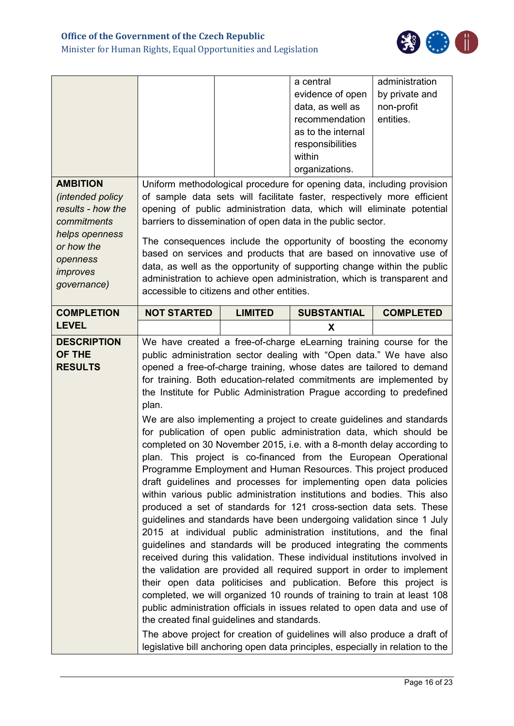

| <b>AMBITION</b><br>(intended policy<br>results - how the<br>commitments<br>helps openness<br>or how the<br>openness<br>improves<br>governance) | accessible to citizens and other entities.           |                | a central<br>evidence of open<br>data, as well as<br>recommendation<br>as to the internal<br>responsibilities<br>within<br>organizations.<br>Uniform methodological procedure for opening data, including provision<br>of sample data sets will facilitate faster, respectively more efficient<br>opening of public administration data, which will eliminate potential<br>barriers to dissemination of open data in the public sector.<br>The consequences include the opportunity of boosting the economy<br>based on services and products that are based on innovative use of<br>data, as well as the opportunity of supporting change within the public<br>administration to achieve open administration, which is transparent and                                                                                                                                                                                                                                                                                                                                                                                                                                                                                                                                                                                                                                                                                                                                                                                                                                                                                                                                                                                                | administration<br>by private and<br>non-profit<br>entities. |
|------------------------------------------------------------------------------------------------------------------------------------------------|------------------------------------------------------|----------------|----------------------------------------------------------------------------------------------------------------------------------------------------------------------------------------------------------------------------------------------------------------------------------------------------------------------------------------------------------------------------------------------------------------------------------------------------------------------------------------------------------------------------------------------------------------------------------------------------------------------------------------------------------------------------------------------------------------------------------------------------------------------------------------------------------------------------------------------------------------------------------------------------------------------------------------------------------------------------------------------------------------------------------------------------------------------------------------------------------------------------------------------------------------------------------------------------------------------------------------------------------------------------------------------------------------------------------------------------------------------------------------------------------------------------------------------------------------------------------------------------------------------------------------------------------------------------------------------------------------------------------------------------------------------------------------------------------------------------------------|-------------------------------------------------------------|
| <b>COMPLETION</b>                                                                                                                              | <b>NOT STARTED</b>                                   | <b>LIMITED</b> | <b>SUBSTANTIAL</b>                                                                                                                                                                                                                                                                                                                                                                                                                                                                                                                                                                                                                                                                                                                                                                                                                                                                                                                                                                                                                                                                                                                                                                                                                                                                                                                                                                                                                                                                                                                                                                                                                                                                                                                     | <b>COMPLETED</b>                                            |
| <b>LEVEL</b>                                                                                                                                   |                                                      |                | X                                                                                                                                                                                                                                                                                                                                                                                                                                                                                                                                                                                                                                                                                                                                                                                                                                                                                                                                                                                                                                                                                                                                                                                                                                                                                                                                                                                                                                                                                                                                                                                                                                                                                                                                      |                                                             |
| <b>DESCRIPTION</b><br>OF THE<br><b>RESULTS</b>                                                                                                 | plan.<br>the created final guidelines and standards. |                | We have created a free-of-charge eLearning training course for the<br>public administration sector dealing with "Open data." We have also<br>opened a free-of-charge training, whose dates are tailored to demand<br>for training. Both education-related commitments are implemented by<br>the Institute for Public Administration Prague according to predefined<br>We are also implementing a project to create guidelines and standards<br>for publication of open public administration data, which should be<br>completed on 30 November 2015, i.e. with a 8-month delay according to<br>plan. This project is co-financed from the European Operational<br>Programme Employment and Human Resources. This project produced<br>draft guidelines and processes for implementing open data policies<br>within various public administration institutions and bodies. This also<br>produced a set of standards for 121 cross-section data sets. These<br>guidelines and standards have been undergoing validation since 1 July<br>2015 at individual public administration institutions, and the final<br>guidelines and standards will be produced integrating the comments<br>received during this validation. These individual institutions involved in<br>the validation are provided all required support in order to implement<br>their open data politicises and publication. Before this project is<br>completed, we will organized 10 rounds of training to train at least 108<br>public administration officials in issues related to open data and use of<br>The above project for creation of guidelines will also produce a draft of<br>legislative bill anchoring open data principles, especially in relation to the |                                                             |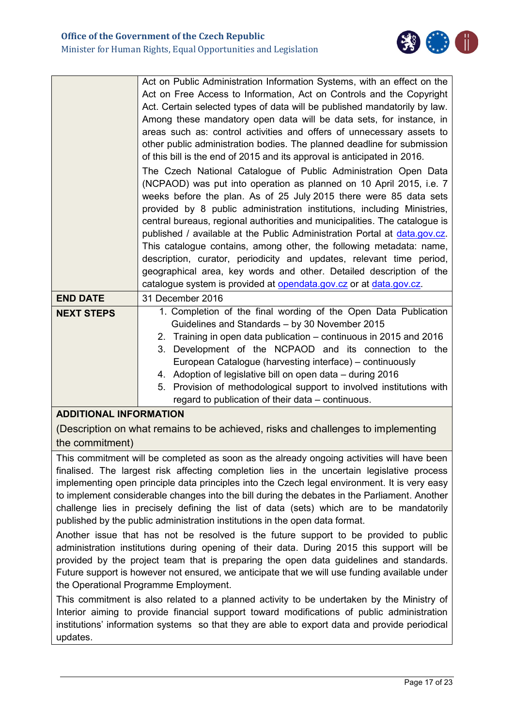

|                   | Act on Public Administration Information Systems, with an effect on the    |
|-------------------|----------------------------------------------------------------------------|
|                   | Act on Free Access to Information, Act on Controls and the Copyright       |
|                   |                                                                            |
|                   | Act. Certain selected types of data will be published mandatorily by law.  |
|                   | Among these mandatory open data will be data sets, for instance, in        |
|                   | areas such as: control activities and offers of unnecessary assets to      |
|                   | other public administration bodies. The planned deadline for submission    |
|                   | of this bill is the end of 2015 and its approval is anticipated in 2016.   |
|                   | The Czech National Catalogue of Public Administration Open Data            |
|                   | (NCPAOD) was put into operation as planned on 10 April 2015, i.e. 7        |
|                   | weeks before the plan. As of 25 July 2015 there were 85 data sets          |
|                   | provided by 8 public administration institutions, including Ministries,    |
|                   | central bureaus, regional authorities and municipalities. The catalogue is |
|                   | published / available at the Public Administration Portal at data.gov.cz.  |
|                   | This catalogue contains, among other, the following metadata: name,        |
|                   | description, curator, periodicity and updates, relevant time period,       |
|                   | geographical area, key words and other. Detailed description of the        |
|                   | catalogue system is provided at opendata.gov.cz or at data.gov.cz.         |
| <b>END DATE</b>   | 31 December 2016                                                           |
| <b>NEXT STEPS</b> | 1. Completion of the final wording of the Open Data Publication            |
|                   | Guidelines and Standards - by 30 November 2015                             |
|                   | 2. Training in open data publication – continuous in 2015 and 2016         |
|                   | 3. Development of the NCPAOD and its connection to the                     |
|                   | European Catalogue (harvesting interface) – continuously                   |
|                   | 4. Adoption of legislative bill on open data - during 2016                 |
|                   | 5. Provision of methodological support to involved institutions with       |
|                   | regard to publication of their data – continuous.                          |

## **ADDITIONAL INFORMATION**

(Description on what remains to be achieved, risks and challenges to implementing the commitment)

This commitment will be completed as soon as the already ongoing activities will have been finalised. The largest risk affecting completion lies in the uncertain legislative process implementing open principle data principles into the Czech legal environment. It is very easy to implement considerable changes into the bill during the debates in the Parliament. Another challenge lies in precisely defining the list of data (sets) which are to be mandatorily published by the public administration institutions in the open data format.

Another issue that has not be resolved is the future support to be provided to public administration institutions during opening of their data. During 2015 this support will be provided by the project team that is preparing the open data guidelines and standards. Future support is however not ensured, we anticipate that we will use funding available under the Operational Programme Employment.

This commitment is also related to a planned activity to be undertaken by the Ministry of Interior aiming to provide financial support toward modifications of public administration institutions' information systems so that they are able to export data and provide periodical updates.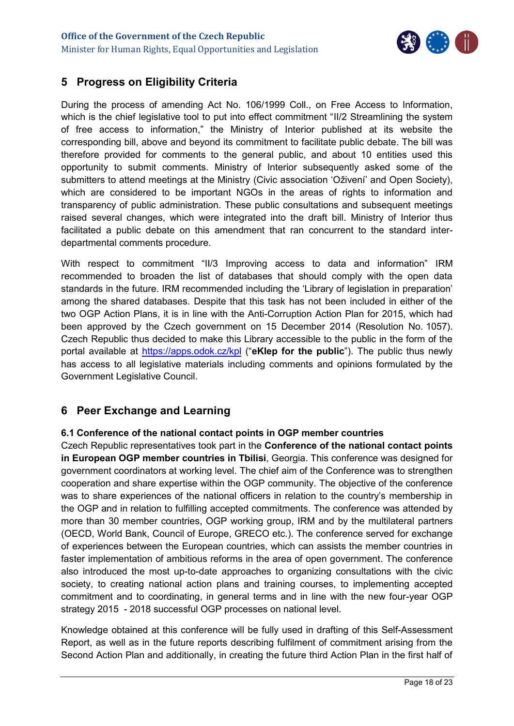

## <span id="page-17-0"></span>**5 Progress on Eligibility Criteria**

During the process of amending Act No. 106/1999 Coll., on Free Access to Information, which is the chief legislative tool to put into effect commitment "II/2 Streamlining the system of free access to information," the Ministry of Interior published at its website the corresponding bill, above and beyond its commitment to facilitate public debate. The bill was therefore provided for comments to the general public, and about 10 entities used this opportunity to submit comments. Ministry of Interior subsequently asked some of the submitters to attend meetings at the Ministry (Civic association 'Oživení' and Open Society), which are considered to be important NGOs in the areas of rights to information and transparency of public administration. These public consultations and subsequent meetings raised several changes, which were integrated into the draft bill. Ministry of Interior thus facilitated a public debate on this amendment that ran concurrent to the standard interdepartmental comments procedure.

With respect to commitment "II/3 Improving access to data and information" IRM recommended to broaden the list of databases that should comply with the open data standards in the future. IRM recommended including the 'Library of legislation in preparation' among the shared databases. Despite that this task has not been included in either of the two OGP Action Plans, it is in line with the Anti-Corruption Action Plan for 2015, which had been approved by the Czech government on 15 December 2014 (Resolution No. 1057). Czech Republic thus decided to make this Library accessible to the public in the form of the portal available at<https://apps.odok.cz/kpl> ("**eKlep for the public**"). The public thus newly has access to all legislative materials including comments and opinions formulated by the Government Legislative Council.

## <span id="page-17-1"></span>**6 Peer Exchange and Learning**

## <span id="page-17-2"></span>**6.1 Conference of the national contact points in OGP member countries**

Czech Republic representatives took part in the **Conference of the national contact points in European OGP member countries in Tbilisi**, Georgia. This conference was designed for government coordinators at working level. The chief aim of the Conference was to strengthen cooperation and share expertise within the OGP community. The objective of the conference was to share experiences of the national officers in relation to the country's membership in the OGP and in relation to fulfilling accepted commitments. The conference was attended by more than 30 member countries, OGP working group, IRM and by the multilateral partners (OECD, World Bank, Council of Europe, GRECO etc.). The conference served for exchange of experiences between the European countries, which can assists the member countries in faster implementation of ambitious reforms in the area of open government. The conference also introduced the most up-to-date approaches to organizing consultations with the civic society, to creating national action plans and training courses, to implementing accepted commitment and to coordinating, in general terms and in line with the new four-year OGP strategy 2015 - 2018 successful OGP processes on national level.

Knowledge obtained at this conference will be fully used in drafting of this Self-Assessment Report, as well as in the future reports describing fulfilment of commitment arising from the Second Action Plan and additionally, in creating the future third Action Plan in the first half of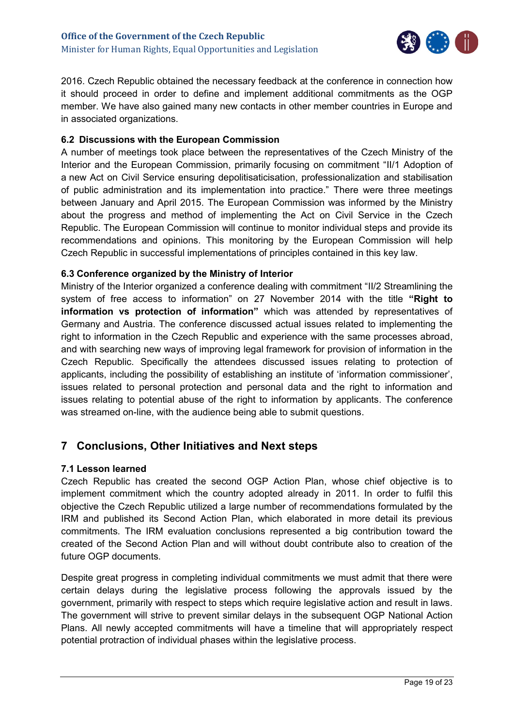

2016. Czech Republic obtained the necessary feedback at the conference in connection how it should proceed in order to define and implement additional commitments as the OGP member. We have also gained many new contacts in other member countries in Europe and in associated organizations.

## <span id="page-18-0"></span>**6.2 Discussions with the European Commission**

A number of meetings took place between the representatives of the Czech Ministry of the Interior and the European Commission, primarily focusing on commitment "II/1 Adoption of a new Act on Civil Service ensuring depolitisaticisation, professionalization and stabilisation of public administration and its implementation into practice." There were three meetings between January and April 2015. The European Commission was informed by the Ministry about the progress and method of implementing the Act on Civil Service in the Czech Republic. The European Commission will continue to monitor individual steps and provide its recommendations and opinions. This monitoring by the European Commission will help Czech Republic in successful implementations of principles contained in this key law.

## <span id="page-18-1"></span>**6.3 Conference organized by the Ministry of Interior**

Ministry of the Interior organized a conference dealing with commitment "II/2 Streamlining the system of free access to information" on 27 November 2014 with the title **"Right to information vs protection of information"** which was attended by representatives of Germany and Austria. The conference discussed actual issues related to implementing the right to information in the Czech Republic and experience with the same processes abroad, and with searching new ways of improving legal framework for provision of information in the Czech Republic. Specifically the attendees discussed issues relating to protection of applicants, including the possibility of establishing an institute of 'information commissioner', issues related to personal protection and personal data and the right to information and issues relating to potential abuse of the right to information by applicants. The conference was streamed on-line, with the audience being able to submit questions.

## <span id="page-18-2"></span>**7 Conclusions, Other Initiatives and Next steps**

### <span id="page-18-3"></span>**7.1 Lesson learned**

Czech Republic has created the second OGP Action Plan, whose chief objective is to implement commitment which the country adopted already in 2011. In order to fulfil this objective the Czech Republic utilized a large number of recommendations formulated by the IRM and published its Second Action Plan, which elaborated in more detail its previous commitments. The IRM evaluation conclusions represented a big contribution toward the created of the Second Action Plan and will without doubt contribute also to creation of the future OGP documents.

Despite great progress in completing individual commitments we must admit that there were certain delays during the legislative process following the approvals issued by the government, primarily with respect to steps which require legislative action and result in laws. The government will strive to prevent similar delays in the subsequent OGP National Action Plans. All newly accepted commitments will have a timeline that will appropriately respect potential protraction of individual phases within the legislative process.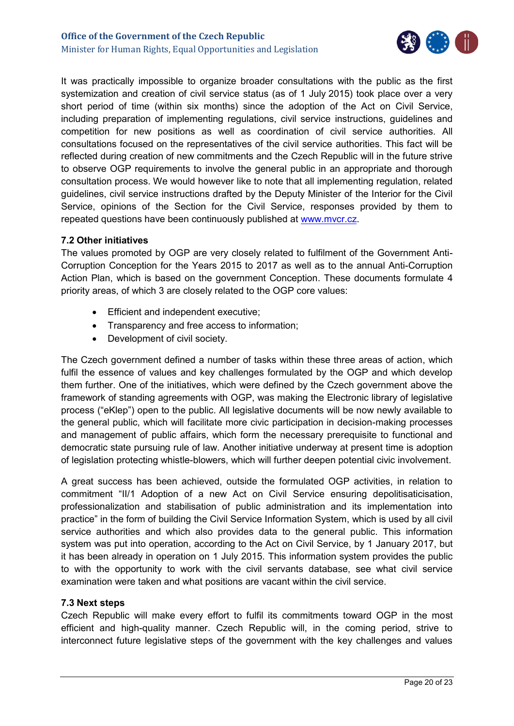

It was practically impossible to organize broader consultations with the public as the first systemization and creation of civil service status (as of 1 July 2015) took place over a very short period of time (within six months) since the adoption of the Act on Civil Service, including preparation of implementing regulations, civil service instructions, guidelines and competition for new positions as well as coordination of civil service authorities. All consultations focused on the representatives of the civil service authorities. This fact will be reflected during creation of new commitments and the Czech Republic will in the future strive to observe OGP requirements to involve the general public in an appropriate and thorough consultation process. We would however like to note that all implementing regulation, related guidelines, civil service instructions drafted by the Deputy Minister of the Interior for the Civil Service, opinions of the Section for the Civil Service, responses provided by them to repeated questions have been continuously published at [www.mvcr.cz.](http://www.mvcr.cz/)

### <span id="page-19-0"></span>**7.2 Other initiatives**

The values promoted by OGP are very closely related to fulfilment of the Government Anti-Corruption Conception for the Years 2015 to 2017 as well as to the annual Anti-Corruption Action Plan, which is based on the government Conception. These documents formulate 4 priority areas, of which 3 are closely related to the OGP core values:

- **Efficient and independent executive;**
- Transparency and free access to information;
- Development of civil society.

The Czech government defined a number of tasks within these three areas of action, which fulfil the essence of values and key challenges formulated by the OGP and which develop them further. One of the initiatives, which were defined by the Czech government above the framework of standing agreements with OGP, was making the Electronic library of legislative process ("eKlep") open to the public. All legislative documents will be now newly available to the general public, which will facilitate more civic participation in decision-making processes and management of public affairs, which form the necessary prerequisite to functional and democratic state pursuing rule of law. Another initiative underway at present time is adoption of legislation protecting whistle-blowers, which will further deepen potential civic involvement.

A great success has been achieved, outside the formulated OGP activities, in relation to commitment "II/1 Adoption of a new Act on Civil Service ensuring depolitisaticisation, professionalization and stabilisation of public administration and its implementation into practice" in the form of building the Civil Service Information System, which is used by all civil service authorities and which also provides data to the general public. This information system was put into operation, according to the Act on Civil Service, by 1 January 2017, but it has been already in operation on 1 July 2015. This information system provides the public to with the opportunity to work with the civil servants database, see what civil service examination were taken and what positions are vacant within the civil service.

### <span id="page-19-1"></span>**7.3 Next steps**

Czech Republic will make every effort to fulfil its commitments toward OGP in the most efficient and high-quality manner. Czech Republic will, in the coming period, strive to interconnect future legislative steps of the government with the key challenges and values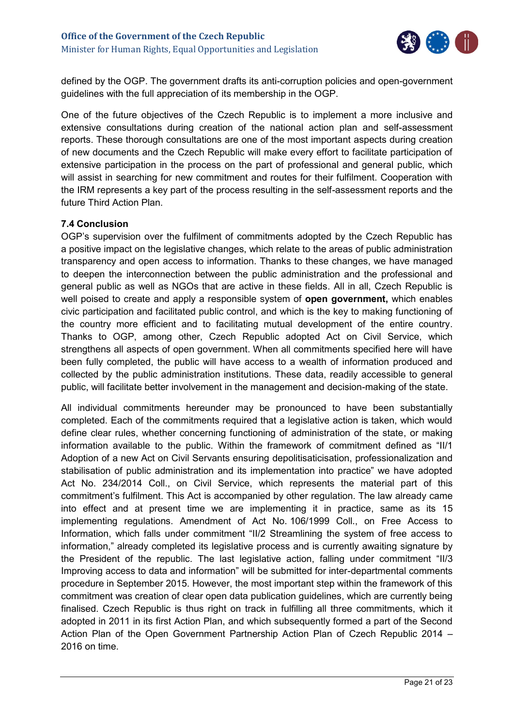

defined by the OGP. The government drafts its anti-corruption policies and open-government guidelines with the full appreciation of its membership in the OGP.

One of the future objectives of the Czech Republic is to implement a more inclusive and extensive consultations during creation of the national action plan and self-assessment reports. These thorough consultations are one of the most important aspects during creation of new documents and the Czech Republic will make every effort to facilitate participation of extensive participation in the process on the part of professional and general public, which will assist in searching for new commitment and routes for their fulfilment. Cooperation with the IRM represents a key part of the process resulting in the self-assessment reports and the future Third Action Plan.

## <span id="page-20-0"></span>**7.4 Conclusion**

OGP's supervision over the fulfilment of commitments adopted by the Czech Republic has a positive impact on the legislative changes, which relate to the areas of public administration transparency and open access to information. Thanks to these changes, we have managed to deepen the interconnection between the public administration and the professional and general public as well as NGOs that are active in these fields. All in all, Czech Republic is well poised to create and apply a responsible system of **open government,** which enables civic participation and facilitated public control, and which is the key to making functioning of the country more efficient and to facilitating mutual development of the entire country. Thanks to OGP, among other, Czech Republic adopted Act on Civil Service, which strengthens all aspects of open government. When all commitments specified here will have been fully completed, the public will have access to a wealth of information produced and collected by the public administration institutions. These data, readily accessible to general public, will facilitate better involvement in the management and decision-making of the state.

All individual commitments hereunder may be pronounced to have been substantially completed. Each of the commitments required that a legislative action is taken, which would define clear rules, whether concerning functioning of administration of the state, or making information available to the public. Within the framework of commitment defined as "II/1 Adoption of a new Act on Civil Servants ensuring depolitisaticisation, professionalization and stabilisation of public administration and its implementation into practice" we have adopted Act No. 234/2014 Coll., on Civil Service, which represents the material part of this commitment's fulfilment. This Act is accompanied by other regulation. The law already came into effect and at present time we are implementing it in practice, same as its 15 implementing regulations. Amendment of Act No. 106/1999 Coll., on Free Access to Information, which falls under commitment "II/2 Streamlining the system of free access to information," already completed its legislative process and is currently awaiting signature by the President of the republic. The last legislative action, falling under commitment "II/3 Improving access to data and information" will be submitted for inter-departmental comments procedure in September 2015. However, the most important step within the framework of this commitment was creation of clear open data publication guidelines, which are currently being finalised. Czech Republic is thus right on track in fulfilling all three commitments, which it adopted in 2011 in its first Action Plan, and which subsequently formed a part of the Second Action Plan of the Open Government Partnership Action Plan of Czech Republic 2014 – 2016 on time.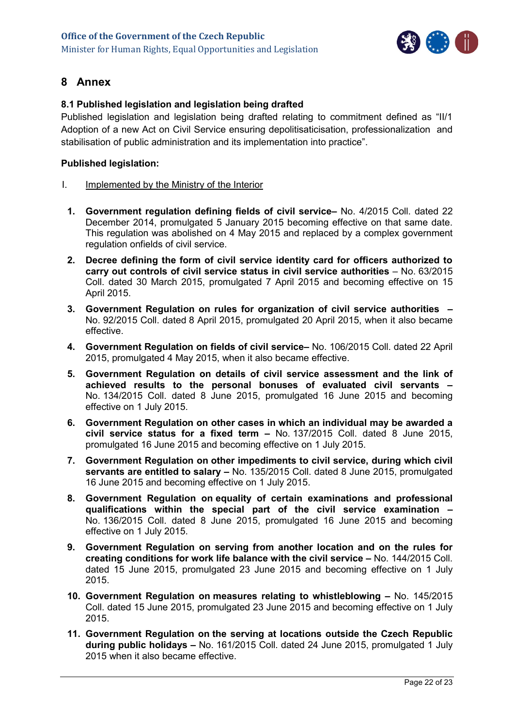

## <span id="page-21-0"></span>**8 Annex**

## <span id="page-21-1"></span>**8.1 Published legislation and legislation being drafted**

Published legislation and legislation being drafted relating to commitment defined as "II/1 Adoption of a new Act on Civil Service ensuring depolitisaticisation, professionalization and stabilisation of public administration and its implementation into practice".

### **Published legislation:**

- I. Implemented by the Ministry of the Interior
	- **1. Government regulation defining fields of civil service–** No. 4/2015 Coll. dated 22 December 2014, promulgated 5 January 2015 becoming effective on that same date. This regulation was abolished on 4 May 2015 and replaced by a complex government regulation onfields of civil service.
	- **2. Decree defining the form of civil service identity card for officers authorized to carry out controls of civil service status in civil service authorities** – No. 63/2015 Coll. dated 30 March 2015, promulgated 7 April 2015 and becoming effective on 15 April 2015.
	- **3. Government Regulation on rules for organization of civil service authorities –** No. 92/2015 Coll. dated 8 April 2015, promulgated 20 April 2015, when it also became effective.
	- **4. Government Regulation on fields of civil service–** No. 106/2015 Coll. dated 22 April 2015, promulgated 4 May 2015, when it also became effective.
	- **5. Government Regulation on details of civil service assessment and the link of achieved results to the personal bonuses of evaluated civil servants –** No. 134/2015 Coll. dated 8 June 2015, promulgated 16 June 2015 and becoming effective on 1 July 2015.
	- **6. Government Regulation on other cases in which an individual may be awarded a civil service status for a fixed term –** No. 137/2015 Coll. dated 8 June 2015, promulgated 16 June 2015 and becoming effective on 1 July 2015.
	- **7. Government Regulation on other impediments to civil service, during which civil servants are entitled to salary –** No. 135/2015 Coll. dated 8 June 2015, promulgated 16 June 2015 and becoming effective on 1 July 2015.
	- **8. Government Regulation on equality of certain examinations and professional qualifications within the special part of the civil service examination –** No. 136/2015 Coll. dated 8 June 2015, promulgated 16 June 2015 and becoming effective on 1 July 2015.
	- **9. Government Regulation on serving from another location and on the rules for creating conditions for work life balance with the civil service –** No. 144/2015 Coll. dated 15 June 2015, promulgated 23 June 2015 and becoming effective on 1 July 2015.
	- **10. Government Regulation on measures relating to whistleblowing –** No. 145/2015 Coll. dated 15 June 2015, promulgated 23 June 2015 and becoming effective on 1 July 2015.
	- **11. Government Regulation on the serving at locations outside the Czech Republic during public holidays –** No. 161/2015 Coll. dated 24 June 2015, promulgated 1 July 2015 when it also became effective.